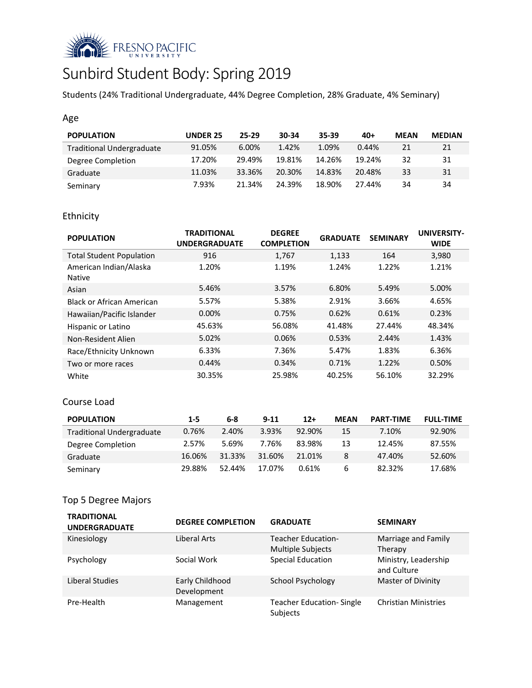

# Sunbird Student Body: Spring 2019

Students (24% Traditional Undergraduate, 44% Degree Completion, 28% Graduate, 4% Seminary)

#### Age

| <b>POPULATION</b>                | <b>UNDER 25</b> | 25-29  | 30-34  | 35-39  | $40+$  | <b>MEAN</b> | <b>MEDIAN</b> |
|----------------------------------|-----------------|--------|--------|--------|--------|-------------|---------------|
| <b>Traditional Undergraduate</b> | 91.05%          | 6.00%  | 1.42%  | 1.09%  | 0.44%  | 21          | 21            |
| Degree Completion                | 17.20%          | 29.49% | 19.81% | 14.26% | 19.24% | 32          | 31            |
| Graduate                         | 11.03%          | 33.36% | 20.30% | 14.83% | 20.48% | 33          | 31            |
| Seminary                         | 7.93%           | 21.34% | 24.39% | 18.90% | 27.44% | 34          | 34            |

## Ethnicity

| <b>POPULATION</b>                       | <b>TRADITIONAL</b><br><b>UNDERGRADUATE</b> | <b>DEGREE</b><br><b>COMPLETION</b> | <b>GRADUATE</b> | <b>SEMINARY</b> | <b>UNIVERSITY-</b><br><b>WIDE</b> |
|-----------------------------------------|--------------------------------------------|------------------------------------|-----------------|-----------------|-----------------------------------|
| <b>Total Student Population</b>         | 916                                        | 1,767                              | 1,133           | 164             | 3,980                             |
| American Indian/Alaska<br><b>Native</b> | 1.20%                                      | 1.19%                              | 1.24%           | 1.22%           | 1.21%                             |
| Asian                                   | 5.46%                                      | 3.57%                              | 6.80%           | 5.49%           | 5.00%                             |
| Black or African American               | 5.57%                                      | 5.38%                              | 2.91%           | 3.66%           | 4.65%                             |
| Hawaiian/Pacific Islander               | $0.00\%$                                   | 0.75%                              | 0.62%           | 0.61%           | 0.23%                             |
| Hispanic or Latino                      | 45.63%                                     | 56.08%                             | 41.48%          | 27.44%          | 48.34%                            |
| Non-Resident Alien                      | 5.02%                                      | 0.06%                              | 0.53%           | 2.44%           | 1.43%                             |
| Race/Ethnicity Unknown                  | 6.33%                                      | 7.36%                              | 5.47%           | 1.83%           | 6.36%                             |
| Two or more races                       | 0.44%                                      | 0.34%                              | 0.71%           | 1.22%           | 0.50%                             |
| White                                   | 30.35%                                     | 25.98%                             | 40.25%          | 56.10%          | 32.29%                            |

#### Course Load

| <b>POPULATION</b>                | $1 - 5$ | 6-8    | $9 - 11$ | $12+$     | <b>MEAN</b> | <b>PART-TIME</b> | <b>FULL-TIME</b> |
|----------------------------------|---------|--------|----------|-----------|-------------|------------------|------------------|
| <b>Traditional Undergraduate</b> | 0.76%   | 2.40%  | 3.93%    | $92.90\%$ | 15          | 7.10%            | 92.90%           |
| Degree Completion                | 2.57%   | 5.69%  | 7.76%    | 83.98%    | 13          | 12.45%           | 87.55%           |
| Graduate                         | 16.06%  | 31.33% | 31.60%   | 21.01%    | 8           | 47.40%           | 52.60%           |
| Seminary                         | 29.88%  | 52.44% | 17.07%   | 0.61%     | 6           | 82.32%           | 17.68%           |

## Top 5 Degree Majors

| <b>TRADITIONAL</b><br><b>UNDERGRADUATE</b> | <b>DEGREE COMPLETION</b>       | <b>GRADUATE</b>                                       | <b>SEMINARY</b>                     |
|--------------------------------------------|--------------------------------|-------------------------------------------------------|-------------------------------------|
| Kinesiology                                | Liberal Arts                   | <b>Teacher Education-</b><br><b>Multiple Subjects</b> | Marriage and Family<br>Therapy      |
| Psychology                                 | Social Work                    | <b>Special Education</b>                              | Ministry, Leadership<br>and Culture |
| Liberal Studies                            | Early Childhood<br>Development | School Psychology                                     | Master of Divinity                  |
| Pre-Health                                 | Management                     | <b>Teacher Education-Single</b><br>Subjects           | <b>Christian Ministries</b>         |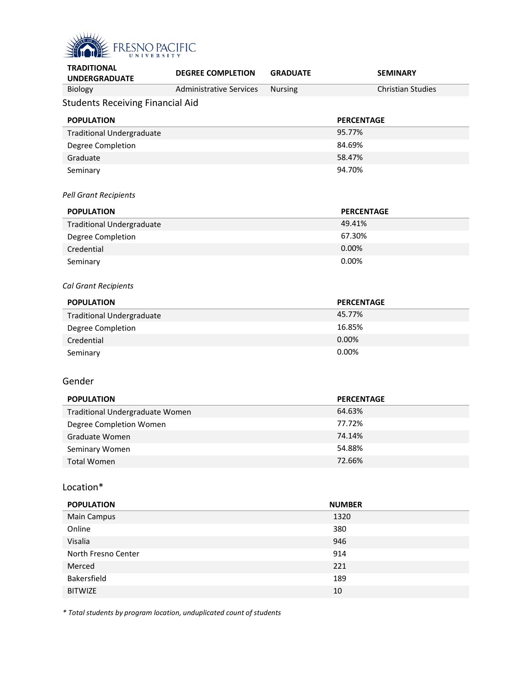

| <b>TRADITIONAL</b><br><b>UNDERGRADUATE</b> | <b>DEGREE COMPLETION</b>       | <b>GRADUATE</b> |                   | <b>SEMINARY</b>          |
|--------------------------------------------|--------------------------------|-----------------|-------------------|--------------------------|
| Biology                                    | <b>Administrative Services</b> | <b>Nursing</b>  |                   | <b>Christian Studies</b> |
| <b>Students Receiving Financial Aid</b>    |                                |                 |                   |                          |
| <b>POPULATION</b>                          |                                |                 | <b>PERCENTAGE</b> |                          |
| <b>Traditional Undergraduate</b>           |                                |                 | 95.77%            |                          |
| Degree Completion                          |                                |                 | 84.69%            |                          |
| Graduate                                   |                                |                 | 58.47%            |                          |
| Seminary                                   |                                |                 | 94.70%            |                          |
| <b>Pell Grant Recipients</b>               |                                |                 |                   |                          |
| <b>POPULATION</b>                          |                                |                 | <b>PERCENTAGE</b> |                          |
| <b>Traditional Undergraduate</b>           |                                |                 | 49.41%            |                          |
| Degree Completion                          |                                |                 | 67.30%            |                          |
| Credential                                 |                                |                 | 0.00%             |                          |
| Seminary                                   |                                |                 | 0.00%             |                          |
|                                            |                                |                 |                   |                          |
| <b>Cal Grant Recipients</b>                |                                |                 |                   |                          |
| <b>POPULATION</b>                          |                                |                 | <b>PERCENTAGE</b> |                          |
| <b>Traditional Undergraduate</b>           |                                |                 | 45.77%            |                          |
| Degree Completion                          |                                |                 | 16.85%            |                          |
| Credential                                 |                                |                 | 0.00%             |                          |
| Seminary                                   |                                |                 | 0.00%             |                          |
|                                            |                                |                 |                   |                          |
| Gender                                     |                                |                 |                   |                          |
| <b>POPULATION</b>                          |                                |                 | <b>PERCENTAGE</b> |                          |
| Traditional Undergraduate Women            |                                |                 | 64.63%            |                          |
| Degree Completion Women                    |                                |                 | 77.72%            |                          |
| Graduate Women                             |                                |                 | 74.14%            |                          |
| Seminary Women                             |                                |                 | 54.88%            |                          |
| <b>Total Women</b>                         |                                |                 | 72.66%            |                          |
| Location*                                  |                                |                 |                   |                          |
|                                            |                                |                 |                   |                          |
| <b>POPULATION</b>                          |                                |                 | <b>NUMBER</b>     |                          |
| Main Campus                                |                                |                 | 1320              |                          |
| Online                                     |                                |                 | 380               |                          |
| Visalia                                    |                                |                 | 946               |                          |
| North Fresno Center                        |                                |                 | 914               |                          |
| Merced                                     |                                |                 | 221               |                          |
| Bakersfield                                |                                |                 | 189               |                          |
| <b>BITWIZE</b>                             |                                |                 | $10\,$            |                          |

*\* Total students by program location, unduplicated count of students*